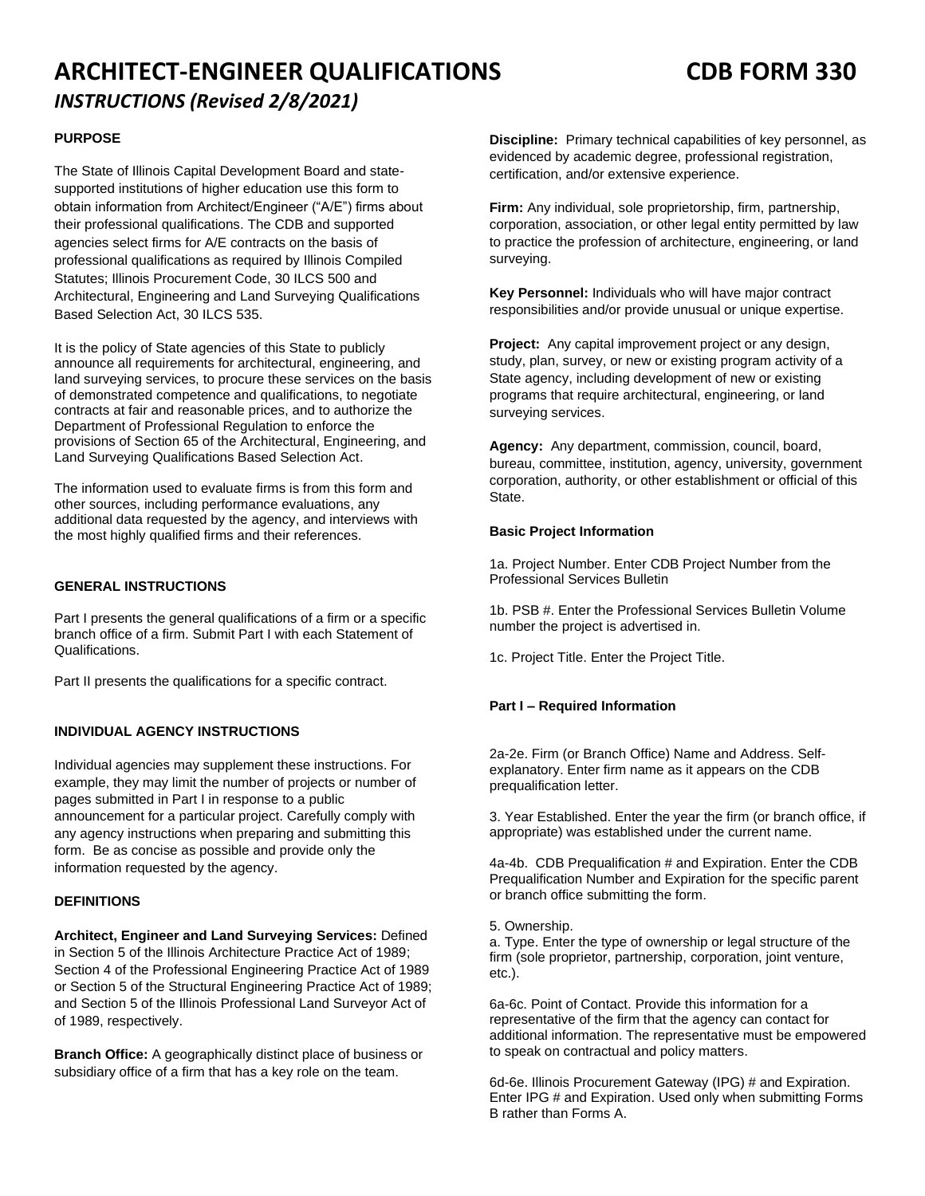# **ARCHITECT-ENGINEER QUALIFICATIONS CDB FORM 330** *INSTRUCTIONS (Revised 2/8/2021)*

# **PURPOSE**

The State of Illinois Capital Development Board and statesupported institutions of higher education use this form to obtain information from Architect/Engineer ("A/E") firms about their professional qualifications. The CDB and supported agencies select firms for A/E contracts on the basis of professional qualifications as required by Illinois Compiled Statutes; Illinois Procurement Code, 30 ILCS 500 and Architectural, Engineering and Land Surveying Qualifications Based Selection Act, 30 ILCS 535.

It is the policy of State agencies of this State to publicly announce all requirements for architectural, engineering, and land surveying services, to procure these services on the basis of demonstrated competence and qualifications, to negotiate contracts at fair and reasonable prices, and to authorize the Department of Professional Regulation to enforce the provisions of Section 65 of the Architectural, Engineering, and Land Surveying Qualifications Based Selection Act.

The information used to evaluate firms is from this form and other sources, including performance evaluations, any additional data requested by the agency, and interviews with the most highly qualified firms and their references.

# **GENERAL INSTRUCTIONS**

Part I presents the general qualifications of a firm or a specific branch office of a firm. Submit Part I with each Statement of Qualifications.

Part II presents the qualifications for a specific contract.

# **INDIVIDUAL AGENCY INSTRUCTIONS**

Individual agencies may supplement these instructions. For example, they may limit the number of projects or number of pages submitted in Part I in response to a public announcement for a particular project. Carefully comply with any agency instructions when preparing and submitting this form. Be as concise as possible and provide only the information requested by the agency.

# **DEFINITIONS**

**Architect, Engineer and Land Surveying Services:** Defined in Section 5 of the Illinois Architecture Practice Act of 1989; Section 4 of the Professional Engineering Practice Act of 1989 or Section 5 of the Structural Engineering Practice Act of 1989; and Section 5 of the Illinois Professional Land Surveyor Act of of 1989, respectively.

**Branch Office:** A geographically distinct place of business or subsidiary office of a firm that has a key role on the team.

**Discipline:** Primary technical capabilities of key personnel, as evidenced by academic degree, professional registration, certification, and/or extensive experience.

**Firm:** Any individual, sole proprietorship, firm, partnership, corporation, association, or other legal entity permitted by law to practice the profession of architecture, engineering, or land surveying.

**Key Personnel:** Individuals who will have major contract responsibilities and/or provide unusual or unique expertise.

**Project:** Any capital improvement project or any design, study, plan, survey, or new or existing program activity of a State agency, including development of new or existing programs that require architectural, engineering, or land surveying services.

**Agency:** Any department, commission, council, board, bureau, committee, institution, agency, university, government corporation, authority, or other establishment or official of this State.

## **Basic Project Information**

1a. Project Number. Enter CDB Project Number from the Professional Services Bulletin

1b. PSB #. Enter the Professional Services Bulletin Volume number the project is advertised in.

1c. Project Title. Enter the Project Title.

# **Part I – Required Information**

2a-2e. Firm (or Branch Office) Name and Address. Selfexplanatory. Enter firm name as it appears on the CDB prequalification letter.

3. Year Established. Enter the year the firm (or branch office, if appropriate) was established under the current name.

4a-4b. CDB Prequalification # and Expiration. Enter the CDB Prequalification Number and Expiration for the specific parent or branch office submitting the form.

5. Ownership.

a. Type. Enter the type of ownership or legal structure of the firm (sole proprietor, partnership, corporation, joint venture, etc.).

6a-6c. Point of Contact. Provide this information for a representative of the firm that the agency can contact for additional information. The representative must be empowered to speak on contractual and policy matters.

6d-6e. Illinois Procurement Gateway (IPG) # and Expiration. Enter IPG # and Expiration. Used only when submitting Forms B rather than Forms A.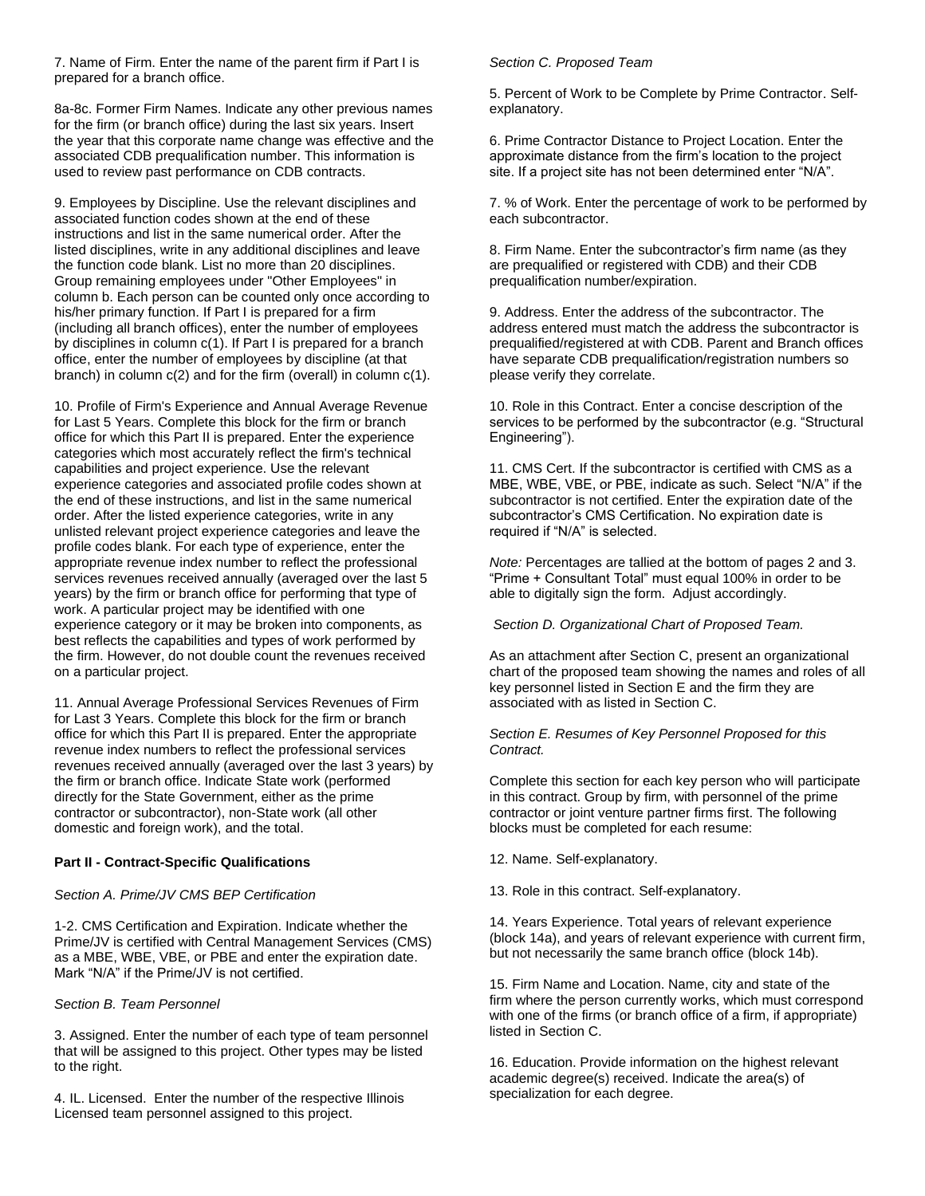7. Name of Firm. Enter the name of the parent firm if Part I is prepared for a branch office.

8a-8c. Former Firm Names. Indicate any other previous names for the firm (or branch office) during the last six years. Insert the year that this corporate name change was effective and the associated CDB prequalification number. This information is used to review past performance on CDB contracts.

9. Employees by Discipline. Use the relevant disciplines and associated function codes shown at the end of these instructions and list in the same numerical order. After the listed disciplines, write in any additional disciplines and leave the function code blank. List no more than 20 disciplines. Group remaining employees under "Other Employees" in column b. Each person can be counted only once according to his/her primary function. If Part I is prepared for a firm (including all branch offices), enter the number of employees by disciplines in column c(1). If Part I is prepared for a branch office, enter the number of employees by discipline (at that branch) in column c(2) and for the firm (overall) in column c(1).

10. Profile of Firm's Experience and Annual Average Revenue for Last 5 Years. Complete this block for the firm or branch office for which this Part II is prepared. Enter the experience categories which most accurately reflect the firm's technical capabilities and project experience. Use the relevant experience categories and associated profile codes shown at the end of these instructions, and list in the same numerical order. After the listed experience categories, write in any unlisted relevant project experience categories and leave the profile codes blank. For each type of experience, enter the appropriate revenue index number to reflect the professional services revenues received annually (averaged over the last 5 years) by the firm or branch office for performing that type of work. A particular project may be identified with one experience category or it may be broken into components, as best reflects the capabilities and types of work performed by the firm. However, do not double count the revenues received on a particular project.

11. Annual Average Professional Services Revenues of Firm for Last 3 Years. Complete this block for the firm or branch office for which this Part II is prepared. Enter the appropriate revenue index numbers to reflect the professional services revenues received annually (averaged over the last 3 years) by the firm or branch office. Indicate State work (performed directly for the State Government, either as the prime contractor or subcontractor), non-State work (all other domestic and foreign work), and the total.

#### **Part II - Contract-Specific Qualifications**

#### *Section A. Prime/JV CMS BEP Certification*

1-2. CMS Certification and Expiration. Indicate whether the Prime/JV is certified with Central Management Services (CMS) as a MBE, WBE, VBE, or PBE and enter the expiration date. Mark "N/A" if the Prime/JV is not certified.

#### *Section B. Team Personnel*

3. Assigned. Enter the number of each type of team personnel that will be assigned to this project. Other types may be listed to the right.

4. IL. Licensed. Enter the number of the respective Illinois Licensed team personnel assigned to this project.

#### *Section C. Proposed Team*

5. Percent of Work to be Complete by Prime Contractor. Selfexplanatory.

6. Prime Contractor Distance to Project Location. Enter the approximate distance from the firm's location to the project site. If a project site has not been determined enter "N/A".

7. % of Work. Enter the percentage of work to be performed by each subcontractor.

8. Firm Name. Enter the subcontractor's firm name (as they are prequalified or registered with CDB) and their CDB prequalification number/expiration.

9. Address. Enter the address of the subcontractor. The address entered must match the address the subcontractor is prequalified/registered at with CDB. Parent and Branch offices have separate CDB prequalification/registration numbers so please verify they correlate.

10. Role in this Contract. Enter a concise description of the services to be performed by the subcontractor (e.g. "Structural Engineering").

11. CMS Cert. If the subcontractor is certified with CMS as a MBE, WBE, VBE, or PBE, indicate as such. Select "N/A" if the subcontractor is not certified. Enter the expiration date of the subcontractor's CMS Certification. No expiration date is required if "N/A" is selected.

*Note:* Percentages are tallied at the bottom of pages 2 and 3. "Prime + Consultant Total" must equal 100% in order to be able to digitally sign the form. Adjust accordingly.

*Section D. Organizational Chart of Proposed Team.*

As an attachment after Section C, present an organizational chart of the proposed team showing the names and roles of all key personnel listed in Section E and the firm they are associated with as listed in Section C.

*Section E. Resumes of Key Personnel Proposed for this Contract.*

Complete this section for each key person who will participate in this contract. Group by firm, with personnel of the prime contractor or joint venture partner firms first. The following blocks must be completed for each resume:

12. Name. Self-explanatory.

13. Role in this contract. Self-explanatory.

14. Years Experience. Total years of relevant experience (block 14a), and years of relevant experience with current firm, but not necessarily the same branch office (block 14b).

15. Firm Name and Location. Name, city and state of the firm where the person currently works, which must correspond with one of the firms (or branch office of a firm, if appropriate) listed in Section C.

16. Education. Provide information on the highest relevant academic degree(s) received. Indicate the area(s) of specialization for each degree.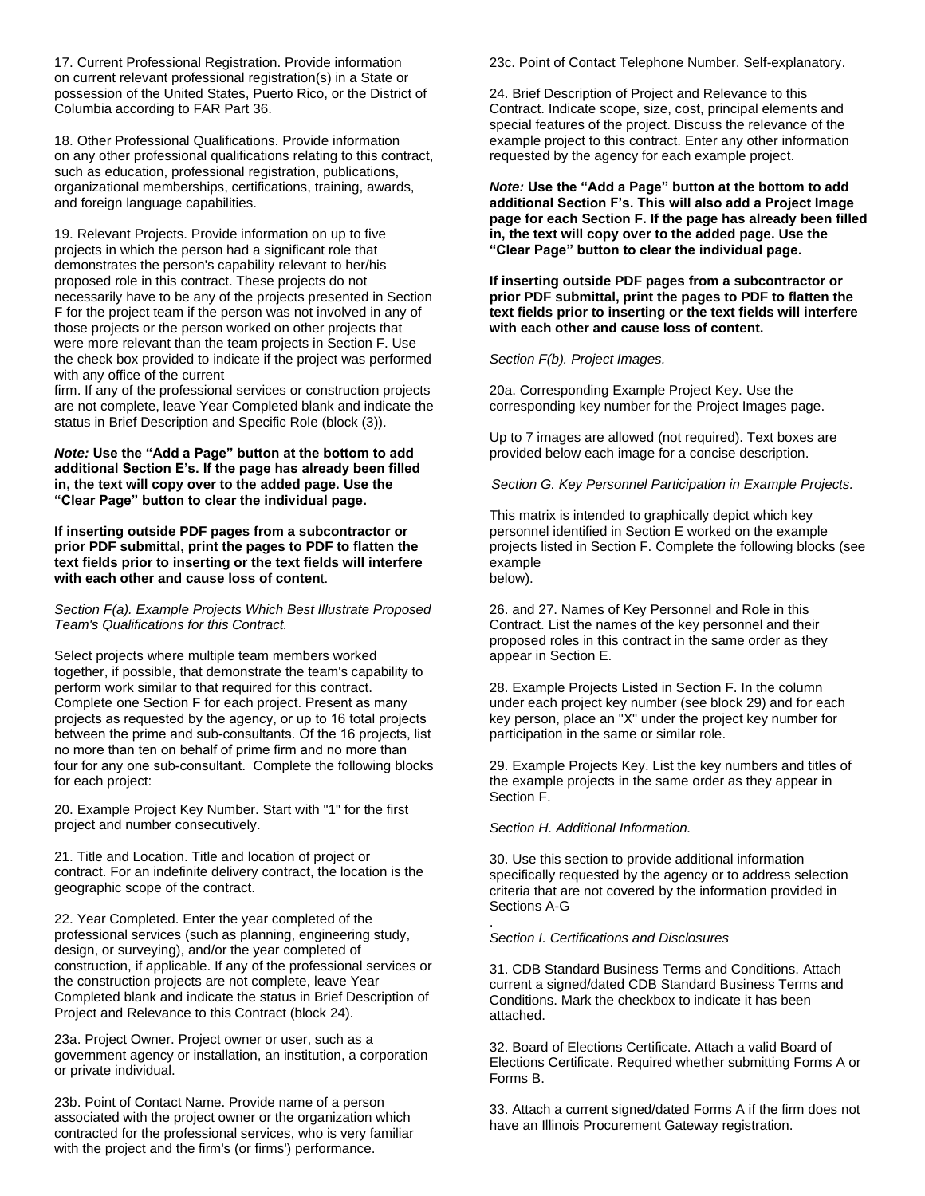17. Current Professional Registration. Provide information on current relevant professional registration(s) in a State or possession of the United States, Puerto Rico, or the District of Columbia according to FAR Part 36.

18. Other Professional Qualifications. Provide information on any other professional qualifications relating to this contract, such as education, professional registration, publications, organizational memberships, certifications, training, awards, and foreign language capabilities.

19. Relevant Projects. Provide information on up to five projects in which the person had a significant role that demonstrates the person's capability relevant to her/his proposed role in this contract. These projects do not necessarily have to be any of the projects presented in Section F for the project team if the person was not involved in any of those projects or the person worked on other projects that were more relevant than the team projects in Section F. Use the check box provided to indicate if the project was performed with any office of the current

firm. If any of the professional services or construction projects are not complete, leave Year Completed blank and indicate the status in Brief Description and Specific Role (block (3)).

*Note:* **Use the "Add a Page" button at the bottom to add additional Section E's. If the page has already been filled in, the text will copy over to the added page. Use the "Clear Page" button to clear the individual page.** 

**If inserting outside PDF pages from a subcontractor or prior PDF submittal, print the pages to PDF to flatten the text fields prior to inserting or the text fields will interfere with each other and cause loss of conten**t.

*Section F(a). Example Projects Which Best Illustrate Proposed Team's Qualifications for this Contract.* 

Select projects where multiple team members worked together, if possible, that demonstrate the team's capability to perform work similar to that required for this contract. Complete one Section F for each project. Present as many projects as requested by the agency, or up to 16 total projects between the prime and sub-consultants. Of the 16 projects, list no more than ten on behalf of prime firm and no more than four for any one sub-consultant. Complete the following blocks for each project:

20. Example Project Key Number. Start with "1" for the first project and number consecutively.

21. Title and Location. Title and location of project or contract. For an indefinite delivery contract, the location is the geographic scope of the contract.

22. Year Completed. Enter the year completed of the professional services (such as planning, engineering study, design, or surveying), and/or the year completed of construction, if applicable. If any of the professional services or the construction projects are not complete, leave Year Completed blank and indicate the status in Brief Description of Project and Relevance to this Contract (block 24).

23a. Project Owner. Project owner or user, such as a government agency or installation, an institution, a corporation or private individual.

23b. Point of Contact Name. Provide name of a person associated with the project owner or the organization which contracted for the professional services, who is very familiar with the project and the firm's (or firms') performance.

23c. Point of Contact Telephone Number. Self-explanatory.

24. Brief Description of Project and Relevance to this Contract. Indicate scope, size, cost, principal elements and special features of the project. Discuss the relevance of the example project to this contract. Enter any other information requested by the agency for each example project.

*Note:* **Use the "Add a Page" button at the bottom to add additional Section F's. This will also add a Project Image page for each Section F. If the page has already been filled in, the text will copy over to the added page. Use the "Clear Page" button to clear the individual page.** 

**If inserting outside PDF pages from a subcontractor or prior PDF submittal, print the pages to PDF to flatten the text fields prior to inserting or the text fields will interfere with each other and cause loss of content.**

*Section F(b). Project Images.*

20a. Corresponding Example Project Key. Use the corresponding key number for the Project Images page.

Up to 7 images are allowed (not required). Text boxes are provided below each image for a concise description.

*Section G. Key Personnel Participation in Example Projects.*

This matrix is intended to graphically depict which key personnel identified in Section E worked on the example projects listed in Section F. Complete the following blocks (see example below).

26. and 27. Names of Key Personnel and Role in this Contract. List the names of the key personnel and their proposed roles in this contract in the same order as they appear in Section E.

28. Example Projects Listed in Section F. In the column under each project key number (see block 29) and for each key person, place an "X" under the project key number for participation in the same or similar role.

29. Example Projects Key. List the key numbers and titles of the example projects in the same order as they appear in Section F.

*Section H. Additional Information.*

.

30. Use this section to provide additional information specifically requested by the agency or to address selection criteria that are not covered by the information provided in Sections A-G

#### *Section I. Certifications and Disclosures*

31. CDB Standard Business Terms and Conditions. Attach current a signed/dated CDB Standard Business Terms and Conditions. Mark the checkbox to indicate it has been attached.

32. Board of Elections Certificate. Attach a valid Board of Elections Certificate. Required whether submitting Forms A or Forms B.

33. Attach a current signed/dated Forms A if the firm does not have an Illinois Procurement Gateway registration.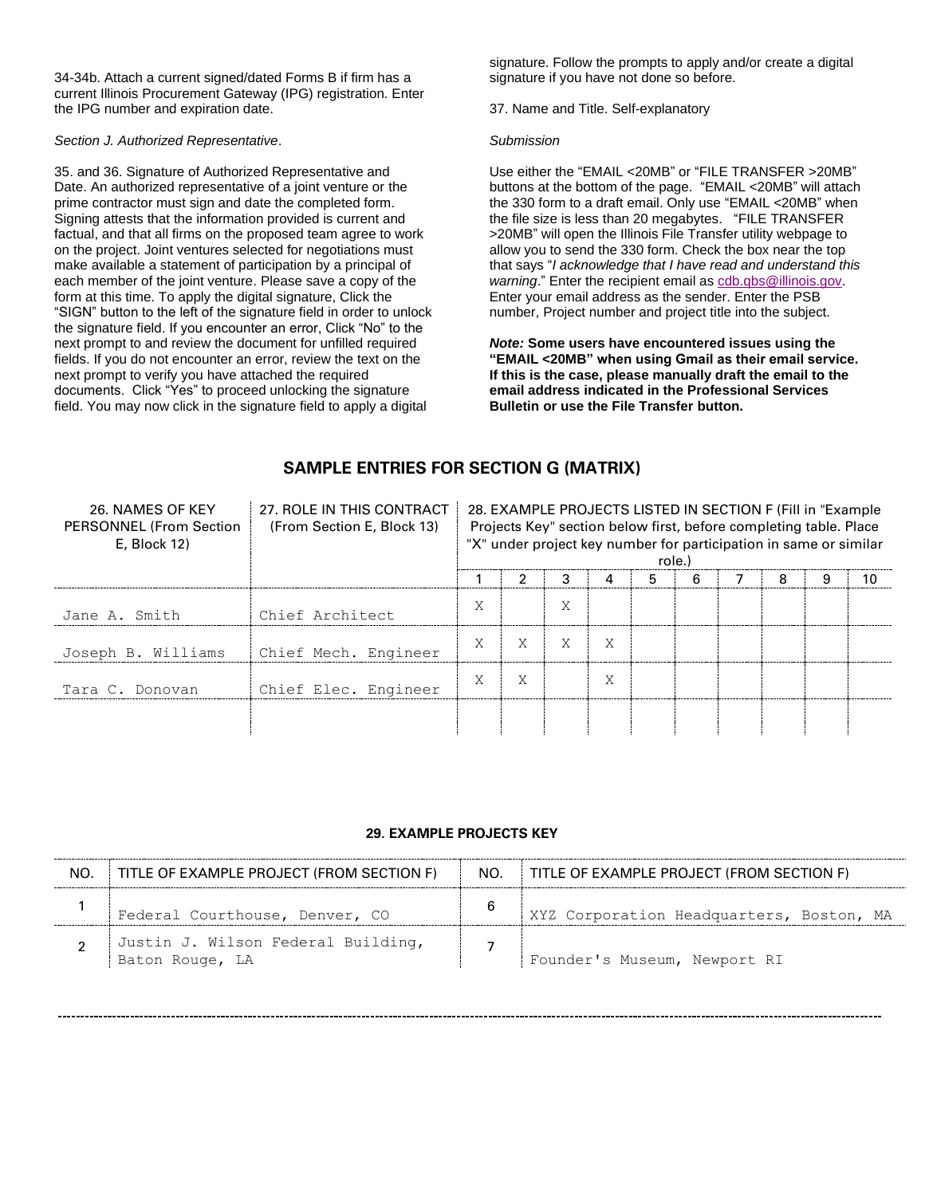34-34b. Attach a current signed/dated Forms B if firm has a current Illinois Procurement Gateway (IPG) registration. Enter the IPG number and expiration date.

### *Section J. Authorized Representative*.

35. and 36. Signature of Authorized Representative and Date. An authorized representative of a joint venture or the prime contractor must sign and date the completed form. Signing attests that the information provided is current and factual, and that all firms on the proposed team agree to work on the project. Joint ventures selected for negotiations must make available a statement of participation by a principal of each member of the joint venture. Please save a copy of the form at this time. To apply the digital signature, Click the "SIGN" button to the left of the signature field in order to unlock the signature field. If you encounter an error, Click "No" to the next prompt to and review the document for unfilled required fields. If you do not encounter an error, review the text on the next prompt to verify you have attached the required documents. Click "Yes" to proceed unlocking the signature field. You may now click in the signature field to apply a digital

signature. Follow the prompts to apply and/or create a digital signature if you have not done so before.

37. Name and Title. Self-explanatory

#### *Submission*

Use either the "EMAIL <20MB" or "FILE TRANSFER >20MB" buttons at the bottom of the page. "EMAIL <20MB" will attach the 330 form to a draft email. Only use "EMAIL <20MB" when the file size is less than 20 megabytes. "FILE TRANSFER >20MB" will open the Illinois File Transfer utility webpage to allow you to send the 330 form. Check the box near the top that says "*I acknowledge that I have read and understand this warning.*" Enter the recipient email as [cdb.qbs@illinois.gov.](mailto:cdb.qbs@illinois.gov) Enter your email address as the sender. Enter the PSB number, Project number and project title into the subject.

*Note:* **Some users have encountered issues using the "EMAIL <20MB" when using Gmail as their email service. If this is the case, please manually draft the email to the email address indicated in the Professional Services Bulletin or use the File Transfer button.**

# **SAMPLE ENTRIES FOR SECTION G (MATRIX)**

| 26. NAMES OF KEY<br><b>PERSONNEL (From Section)</b><br>E. Block 12) | 27. ROLE IN THIS CONTRACT<br>(From Section E, Block 13) | 28. EXAMPLE PROJECTS LISTED IN SECTION F (Fill in "Example")<br>Projects Key" section below first, before completing table. Place<br>"X" under project key number for participation in same or similar<br>role. |   |   |             |   |  |  |   |  |
|---------------------------------------------------------------------|---------------------------------------------------------|-----------------------------------------------------------------------------------------------------------------------------------------------------------------------------------------------------------------|---|---|-------------|---|--|--|---|--|
|                                                                     |                                                         |                                                                                                                                                                                                                 |   |   |             | 5 |  |  | я |  |
| Jane A. Smith                                                       | Chief Architect                                         | $\tau$<br>∧                                                                                                                                                                                                     |   | Χ |             |   |  |  |   |  |
| Joseph B. Williams                                                  | Chief Mech. Engineer                                    | ⋏                                                                                                                                                                                                               |   | X | Χ           |   |  |  |   |  |
| Tara C. Donovan                                                     | Chief Elec. Engineer                                    | ㅅ                                                                                                                                                                                                               | л |   | $\tau$<br>л |   |  |  |   |  |
|                                                                     |                                                         |                                                                                                                                                                                                                 |   |   |             |   |  |  |   |  |

### **29. EXAMPLE PROJECTS KEY**

| NO. | TITLE OF EXAMPLE PROJECT (FROM SECTION F)             | NO. | TITLE OF EXAMPLE PROJECT (FROM SECTION F) |
|-----|-------------------------------------------------------|-----|-------------------------------------------|
|     | Federal Courthouse, Denver, CO                        | 6   | XYZ Corporation Headquarters, Boston, MA  |
|     | Justin J. Wilson Federal Building,<br>Baton Rouge, LA |     | Founder's Museum, Newport RI              |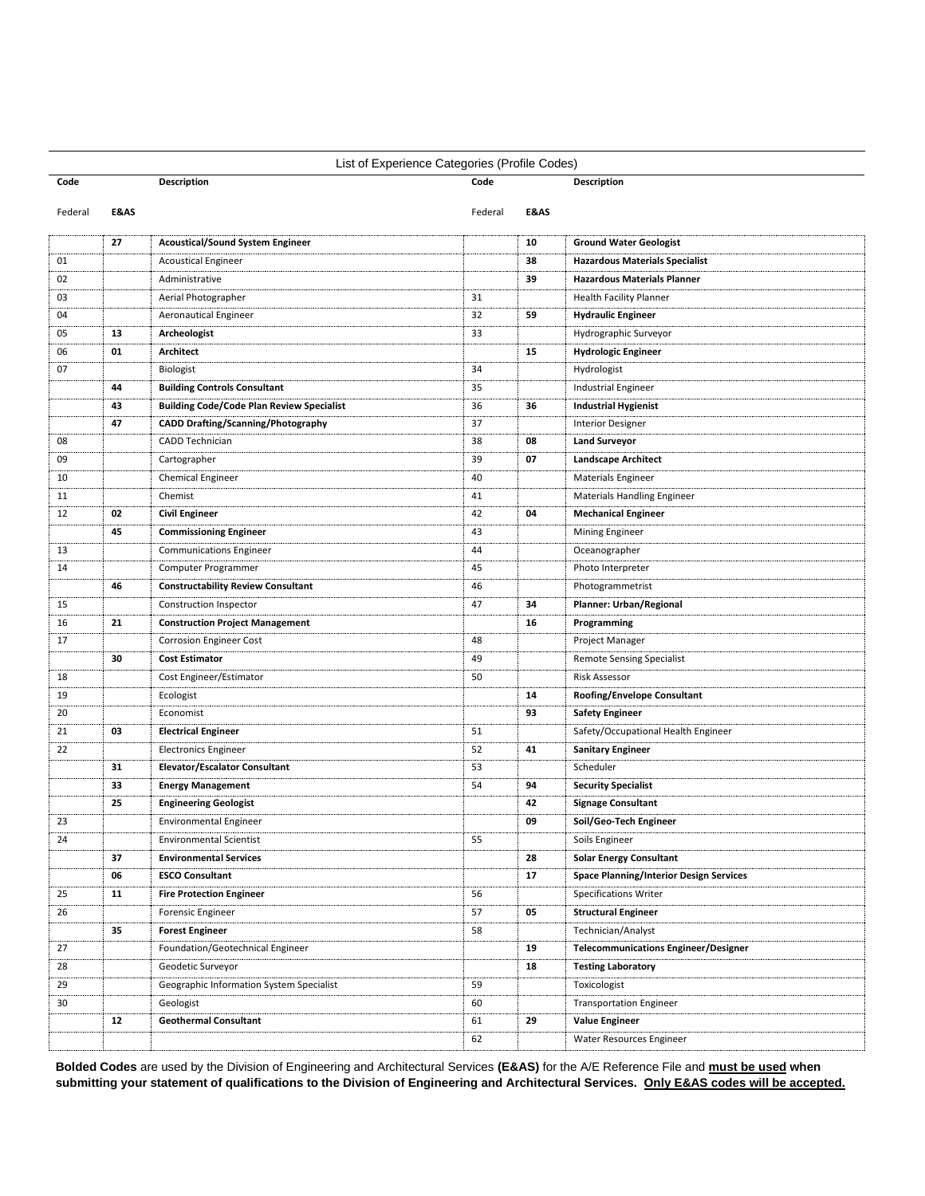| List of Experience Categories (Profile Codes) |      |                                                  |         |      |                                                |  |
|-----------------------------------------------|------|--------------------------------------------------|---------|------|------------------------------------------------|--|
| Code                                          |      | Description                                      |         |      | <b>Description</b>                             |  |
| Federal                                       | E&AS |                                                  | Federal | E&AS |                                                |  |
|                                               | 27   | <b>Acoustical/Sound System Engineer</b>          |         | 10   | <b>Ground Water Geologist</b>                  |  |
| 01                                            |      | <b>Acoustical Engineer</b>                       |         | 38   | <b>Hazardous Materials Specialist</b>          |  |
| 02                                            |      | Administrative                                   |         | 39   | <b>Hazardous Materials Planner</b>             |  |
| 03                                            |      | Aerial Photographer                              | 31      |      | <b>Health Facility Planner</b>                 |  |
| 04                                            |      | <b>Aeronautical Engineer</b>                     | 32      | 59   | <b>Hydraulic Engineer</b>                      |  |
| 05                                            | 13   | Archeologist                                     | 33      |      | Hydrographic Surveyor                          |  |
| 06                                            | 01   | Architect                                        |         | 15   | <b>Hydrologic Engineer</b>                     |  |
| 07                                            |      | Biologist                                        | 34      |      | Hydrologist                                    |  |
|                                               | 44   | <b>Building Controls Consultant</b>              | 35      |      | Industrial Engineer                            |  |
|                                               | 43   | <b>Building Code/Code Plan Review Specialist</b> | 36      | 36   | <b>Industrial Hygienist</b>                    |  |
|                                               | 47   | <b>CADD Drafting/Scanning/Photography</b>        | 37      |      | <b>Interior Designer</b>                       |  |
| 08                                            |      | CADD Technician                                  | 38      | 08   | <b>Land Surveyor</b>                           |  |
| 09                                            |      | Cartographer                                     | 39      | 07   | <b>Landscape Architect</b>                     |  |
| 10                                            |      | <b>Chemical Engineer</b>                         | 40      |      | <b>Materials Engineer</b>                      |  |
| 11                                            |      | Chemist                                          | 41      |      | <b>Materials Handling Engineer</b>             |  |
| 12                                            | 02   | <b>Civil Engineer</b>                            | 42      | 04   | <b>Mechanical Engineer</b>                     |  |
|                                               | 45   | <b>Commissioning Engineer</b>                    | 43      |      | <b>Mining Engineer</b>                         |  |
| 13                                            |      | <b>Communications Engineer</b>                   | 44      |      | Oceanographer                                  |  |
| 14                                            |      | Computer Programmer                              | 45      |      | Photo Interpreter                              |  |
|                                               | 46   | <b>Constructability Review Consultant</b>        | 46      |      | Photogrammetrist                               |  |
| 15                                            |      | Construction Inspector                           | 47      | 34   | Planner: Urban/Regional                        |  |
| 16                                            | 21   | <b>Construction Project Management</b>           |         | 16   | Programming                                    |  |
| 17                                            |      | <b>Corrosion Engineer Cost</b>                   | 48      |      | Project Manager                                |  |
|                                               | 30   | <b>Cost Estimator</b>                            | 49      |      | <b>Remote Sensing Specialist</b>               |  |
| 18                                            |      | Cost Engineer/Estimator                          | 50      |      | <b>Risk Assessor</b>                           |  |
| 19                                            |      | Ecologist                                        |         | 14   | Roofing/Envelope Consultant                    |  |
| 20                                            |      | Economist                                        |         | 93   | <b>Safety Engineer</b>                         |  |
| 21                                            | 03   | <b>Electrical Engineer</b>                       | 51      |      | Safety/Occupational Health Engineer            |  |
| 22                                            |      | <b>Electronics Engineer</b>                      | 52      | 41   | <b>Sanitary Engineer</b>                       |  |
|                                               | 31   | <b>Elevator/Escalator Consultant</b>             | 53      |      | Scheduler                                      |  |
|                                               | 33   | <b>Energy Management</b>                         | 54      | 94   | <b>Security Specialist</b>                     |  |
|                                               | 25   | <b>Engineering Geologist</b>                     |         | 42   | <b>Signage Consultant</b>                      |  |
| 23                                            |      | <b>Environmental Engineer</b>                    |         | 09   | Soil/Geo-Tech Engineer                         |  |
| 24                                            |      | <b>Environmental Scientist</b>                   | 55      |      | Soils Engineer                                 |  |
|                                               | 37   | <b>Environmental Services</b>                    |         | 28   | <b>Solar Energy Consultant</b>                 |  |
|                                               | 06   | <b>ESCO Consultant</b>                           |         | 17   | <b>Space Planning/Interior Design Services</b> |  |
|                                               |      | <b>Fire Protection Engineer</b>                  |         |      |                                                |  |
| 25                                            | 11   |                                                  | 56      |      | <b>Specifications Writer</b>                   |  |
| 26                                            |      | <b>Forensic Engineer</b>                         | 57      | 05   | <b>Structural Engineer</b>                     |  |
|                                               | 35   | <b>Forest Engineer</b>                           | 58      |      | Technician/Analyst                             |  |
| 27                                            |      | Foundation/Geotechnical Engineer                 |         | 19   | <b>Telecommunications Engineer/Designer</b>    |  |
| 28                                            |      | Geodetic Surveyor                                |         | 18   | <b>Testing Laboratory</b>                      |  |
| 29                                            |      | Geographic Information System Specialist         | 59      |      | Toxicologist                                   |  |
| 30                                            |      | Geologist                                        | 60      |      | <b>Transportation Engineer</b>                 |  |
|                                               | 12   | <b>Geothermal Consultant</b>                     | 61      | 29   | <b>Value Engineer</b>                          |  |
|                                               |      |                                                  | 62      |      | Water Resources Engineer                       |  |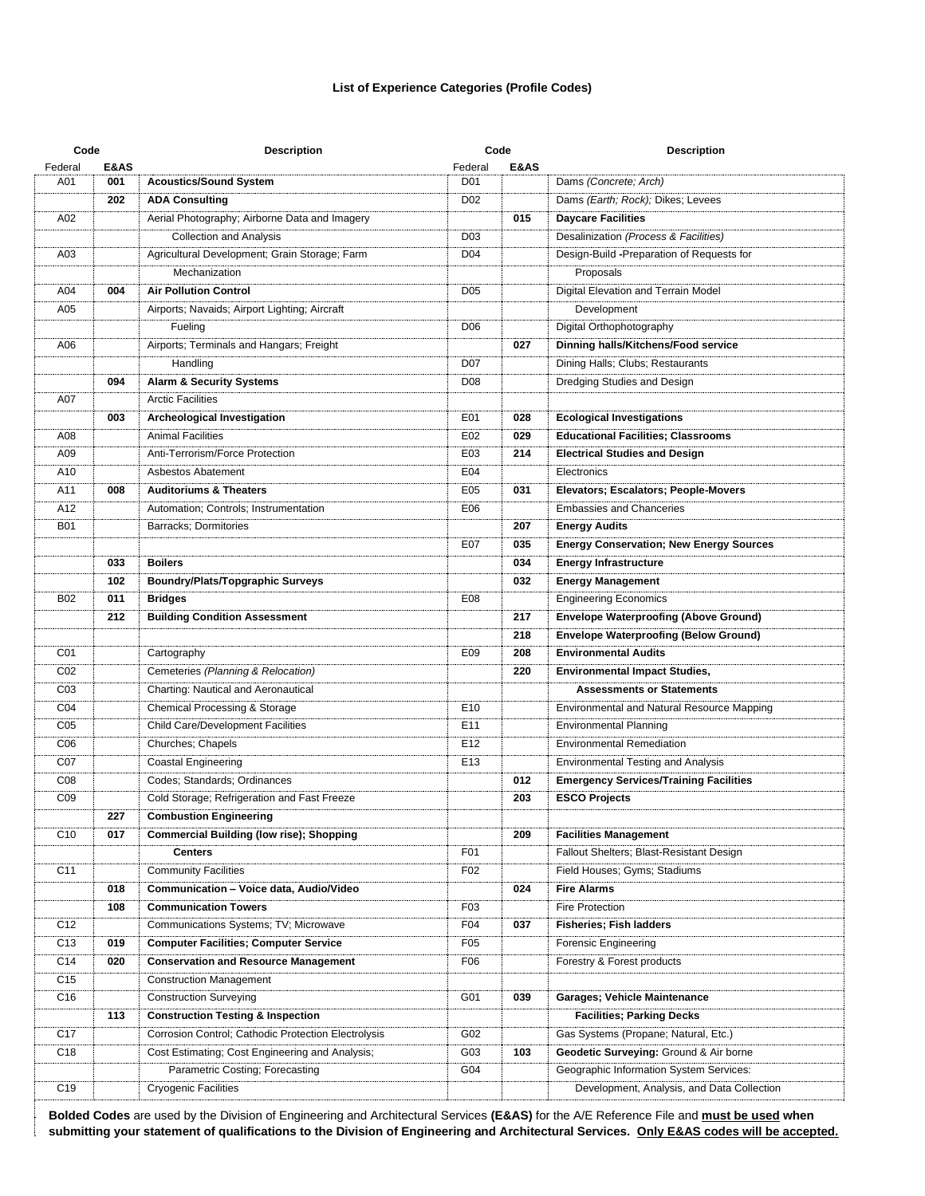#### **List of Experience Categories (Profile Codes)**

| Code             |      | <b>Description</b>                                  | Code            |      | <b>Description</b>                             |  |  |
|------------------|------|-----------------------------------------------------|-----------------|------|------------------------------------------------|--|--|
| Federal          | E&AS |                                                     | Federal         | E&AS |                                                |  |  |
| A01              | 001  | <b>Acoustics/Sound System</b>                       | D <sub>01</sub> |      | Dams (Concrete; Arch)                          |  |  |
|                  | 202  | <b>ADA Consulting</b>                               | D <sub>02</sub> |      | Dams (Earth; Rock); Dikes; Levees              |  |  |
| A02              |      | Aerial Photography; Airborne Data and Imagery       |                 | 015  | <b>Daycare Facilities</b>                      |  |  |
|                  |      | <b>Collection and Analysis</b>                      | D <sub>03</sub> |      | Desalinization (Process & Facilities)          |  |  |
| A03              |      | Agricultural Development; Grain Storage; Farm       | D <sub>04</sub> |      | Design-Build -Preparation of Requests for      |  |  |
|                  |      | Mechanization                                       |                 |      | Proposals                                      |  |  |
| A04              | 004  | <b>Air Pollution Control</b>                        | D <sub>05</sub> |      | Digital Elevation and Terrain Model            |  |  |
| A05              |      | Airports; Navaids; Airport Lighting; Aircraft       |                 |      | Development                                    |  |  |
|                  |      | Fueling                                             | D <sub>06</sub> |      | Digital Orthophotography                       |  |  |
| A06              |      | Airports; Terminals and Hangars; Freight            |                 | 027  | Dinning halls/Kitchens/Food service            |  |  |
|                  |      | Handling                                            | D07             |      | Dining Halls; Clubs; Restaurants               |  |  |
|                  | 094  | <b>Alarm &amp; Security Systems</b>                 | D <sub>08</sub> |      | Dredging Studies and Design                    |  |  |
| A07              |      | <b>Arctic Facilities</b>                            |                 |      |                                                |  |  |
|                  | 003  | Archeological Investigation                         | E01             | 028  | <b>Ecological Investigations</b>               |  |  |
| A08              |      | <b>Animal Facilities</b>                            | E02             | 029  | <b>Educational Facilities; Classrooms</b>      |  |  |
| A09              |      | Anti-Terrorism/Force Protection                     | E03             | 214  | <b>Electrical Studies and Design</b>           |  |  |
| A10              |      | Asbestos Abatement                                  | E04             |      | Electronics                                    |  |  |
| A11              | 008  | <b>Auditoriums &amp; Theaters</b>                   | E05             | 031  | Elevators; Escalators; People-Movers           |  |  |
| A12              |      | Automation; Controls; Instrumentation               | E06             |      | <b>Embassies and Chanceries</b>                |  |  |
| <b>B01</b>       |      | Barracks; Dormitories                               |                 | 207  | <b>Energy Audits</b>                           |  |  |
|                  |      |                                                     | E07             | 035  | <b>Energy Conservation; New Energy Sources</b> |  |  |
|                  | 033  | <b>Boilers</b>                                      |                 | 034  | <b>Energy Infrastructure</b>                   |  |  |
|                  | 102  | <b>Boundry/Plats/Topgraphic Surveys</b>             |                 | 032  | <b>Energy Management</b>                       |  |  |
| <b>B02</b>       | 011  | <b>Bridges</b>                                      | E08             |      | <b>Engineering Economics</b>                   |  |  |
|                  | 212  | <b>Building Condition Assessment</b>                |                 | 217  | <b>Envelope Waterproofing (Above Ground)</b>   |  |  |
|                  |      |                                                     |                 | 218  | <b>Envelope Waterproofing (Below Ground)</b>   |  |  |
| C01              |      | Cartography                                         | E09             | 208  | <b>Environmental Audits</b>                    |  |  |
| CO <sub>2</sub>  |      | Cemeteries (Planning & Relocation)                  |                 | 220  | <b>Environmental Impact Studies,</b>           |  |  |
| CO <sub>3</sub>  |      | Charting: Nautical and Aeronautical                 |                 |      | <b>Assessments or Statements</b>               |  |  |
| CO <sub>4</sub>  |      | Chemical Processing & Storage                       | E <sub>10</sub> |      | Environmental and Natural Resource Mapping     |  |  |
| C <sub>05</sub>  |      | <b>Child Care/Development Facilities</b>            | E11             |      | <b>Environmental Planning</b>                  |  |  |
| C <sub>06</sub>  |      | Churches; Chapels                                   | E12             |      | <b>Environmental Remediation</b>               |  |  |
| C <sub>0</sub> 7 |      | <b>Coastal Engineering</b>                          | E <sub>13</sub> |      | <b>Environmental Testing and Analysis</b>      |  |  |
| C <sub>08</sub>  |      | Codes; Standards; Ordinances                        |                 | 012  | <b>Emergency Services/Training Facilities</b>  |  |  |
| CO <sub>9</sub>  |      | Cold Storage; Refrigeration and Fast Freeze         |                 | 203  | <b>ESCO Projects</b>                           |  |  |
|                  | 227  | <b>Combustion Engineering</b>                       |                 |      |                                                |  |  |
| C <sub>10</sub>  | 017  | <b>Commercial Building (low rise); Shopping</b>     |                 | 209  | <b>Facilities Management</b>                   |  |  |
|                  |      | <b>Centers</b>                                      | F01             |      | Fallout Shelters; Blast-Resistant Design       |  |  |
| C11              |      | <b>Community Facilities</b>                         | F02             |      | Field Houses; Gyms; Stadiums                   |  |  |
|                  | 018  | Communication - Voice data, Audio/Video             |                 | 024  | <b>Fire Alarms</b>                             |  |  |
|                  | 108  | <b>Communication Towers</b>                         | F03             |      | Fire Protection                                |  |  |
| C <sub>12</sub>  |      | Communications Systems; TV; Microwave               | F04             | 037  | <b>Fisheries; Fish ladders</b>                 |  |  |
| C <sub>13</sub>  | 019  | <b>Computer Facilities; Computer Service</b>        | F05             |      | Forensic Engineering                           |  |  |
| C14              | 020  | <b>Conservation and Resource Management</b>         | F06             |      | Forestry & Forest products                     |  |  |
| C <sub>15</sub>  |      | <b>Construction Management</b>                      |                 |      |                                                |  |  |
| C <sub>16</sub>  |      | <b>Construction Surveying</b>                       | G01             | 039  | Garages; Vehicle Maintenance                   |  |  |
|                  | 113  | <b>Construction Testing &amp; Inspection</b>        |                 |      | <b>Facilities; Parking Decks</b>               |  |  |
| C <sub>17</sub>  |      | Corrosion Control; Cathodic Protection Electrolysis | G02             |      | Gas Systems (Propane; Natural, Etc.)           |  |  |
| C <sub>18</sub>  |      | Cost Estimating; Cost Engineering and Analysis;     | G03             | 103  | Geodetic Surveying: Ground & Air borne         |  |  |
|                  |      | Parametric Costing; Forecasting                     | G04             |      | Geographic Information System Services:        |  |  |
| C <sub>19</sub>  |      | <b>Cryogenic Facilities</b>                         |                 |      | Development, Analysis, and Data Collection     |  |  |
|                  |      |                                                     |                 |      |                                                |  |  |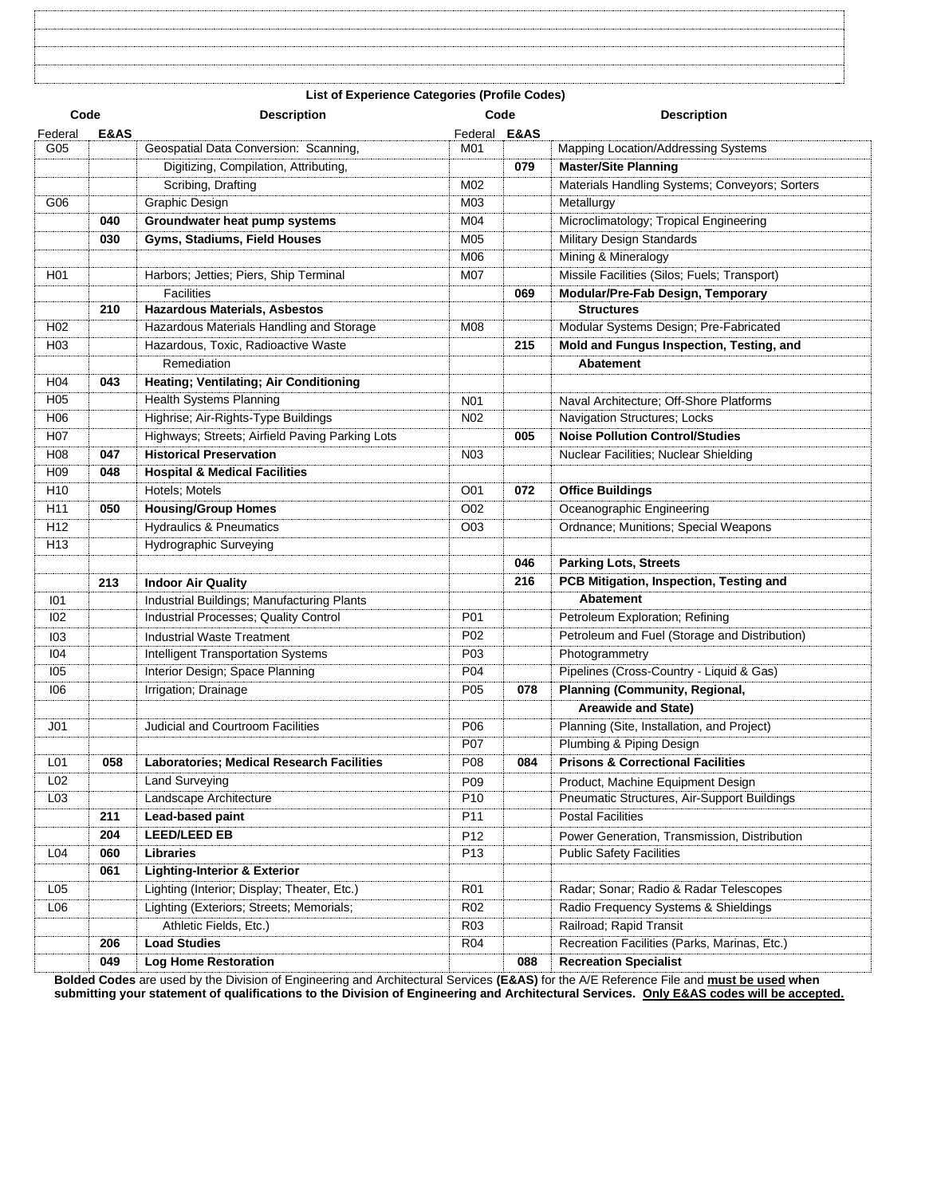| <b>List of Experience Categories (Profile Codes)</b> |  |  |  |  |  |  |
|------------------------------------------------------|--|--|--|--|--|--|

| Code             |                 | <b>Description</b>                               | Code                    |     | <b>Description</b>                             |  |  |
|------------------|-----------------|--------------------------------------------------|-------------------------|-----|------------------------------------------------|--|--|
| Federal          | <b>E&amp;AS</b> |                                                  | Federal <b>E&amp;AS</b> |     |                                                |  |  |
| G05              |                 | Geospatial Data Conversion: Scanning,            | M01                     |     | Mapping Location/Addressing Systems            |  |  |
|                  |                 | Digitizing, Compilation, Attributing,            |                         | 079 | <b>Master/Site Planning</b>                    |  |  |
|                  |                 | Scribing, Drafting                               | M02                     |     | Materials Handling Systems; Conveyors; Sorters |  |  |
| G06              |                 | Graphic Design                                   | M03                     |     | Metallurgy                                     |  |  |
|                  | 040             | Groundwater heat pump systems                    | M04                     |     | Microclimatology; Tropical Engineering         |  |  |
|                  | 030             | Gyms, Stadiums, Field Houses                     | M05                     |     | Military Design Standards                      |  |  |
|                  |                 |                                                  | M06                     |     | Mining & Mineralogy                            |  |  |
| H <sub>0</sub> 1 |                 | Harbors; Jetties; Piers, Ship Terminal           | M07                     |     | Missile Facilities (Silos; Fuels; Transport)   |  |  |
|                  |                 | <b>Facilities</b>                                |                         | 069 | Modular/Pre-Fab Design, Temporary              |  |  |
|                  | 210             | <b>Hazardous Materials, Asbestos</b>             |                         |     | <b>Structures</b>                              |  |  |
| H <sub>02</sub>  |                 | Hazardous Materials Handling and Storage         | M08                     |     | Modular Systems Design; Pre-Fabricated         |  |  |
| H <sub>03</sub>  |                 | Hazardous, Toxic, Radioactive Waste              |                         | 215 | Mold and Fungus Inspection, Testing, and       |  |  |
|                  |                 | Remediation                                      |                         |     | Abatement                                      |  |  |
| H04              | 043             | Heating; Ventilating; Air Conditioning           |                         |     |                                                |  |  |
| H <sub>05</sub>  |                 | Health Systems Planning                          | N <sub>0</sub> 1        |     | Naval Architecture; Off-Shore Platforms        |  |  |
| H <sub>06</sub>  |                 | Highrise; Air-Rights-Type Buildings              | N <sub>02</sub>         |     | Navigation Structures; Locks                   |  |  |
| H <sub>0</sub> 7 |                 | Highways; Streets; Airfield Paving Parking Lots  |                         | 005 | <b>Noise Pollution Control/Studies</b>         |  |  |
| H <sub>08</sub>  | 047             | <b>Historical Preservation</b>                   | N <sub>0</sub> 3        |     | Nuclear Facilities; Nuclear Shielding          |  |  |
| H <sub>09</sub>  | 048             | <b>Hospital &amp; Medical Facilities</b>         |                         |     |                                                |  |  |
| H10              |                 | Hotels; Motels                                   | O01                     | 072 | <b>Office Buildings</b>                        |  |  |
| H11              | 050             | <b>Housing/Group Homes</b>                       | O02                     |     | Oceanographic Engineering                      |  |  |
| H <sub>12</sub>  |                 | <b>Hydraulics &amp; Pneumatics</b>               | O03                     |     | Ordnance; Munitions; Special Weapons           |  |  |
| H <sub>13</sub>  |                 | Hydrographic Surveying                           |                         |     |                                                |  |  |
|                  |                 |                                                  |                         |     |                                                |  |  |
|                  |                 |                                                  |                         | 046 | <b>Parking Lots, Streets</b>                   |  |  |
|                  | 213             | <b>Indoor Air Quality</b>                        |                         | 216 | PCB Mitigation, Inspection, Testing and        |  |  |
| 101              |                 | Industrial Buildings; Manufacturing Plants       |                         |     | <b>Abatement</b>                               |  |  |
| 102              |                 | Industrial Processes; Quality Control            | P01                     |     | Petroleum Exploration; Refining                |  |  |
| 103              |                 | <b>Industrial Waste Treatment</b>                | P02                     |     | Petroleum and Fuel (Storage and Distribution)  |  |  |
| 104              |                 | Intelligent Transportation Systems               | P03                     |     | Photogrammetry                                 |  |  |
| 105              |                 | Interior Design; Space Planning                  | P04                     |     | Pipelines (Cross-Country - Liquid & Gas)       |  |  |
| 106              |                 | Irrigation; Drainage                             | P05                     | 078 | <b>Planning (Community, Regional,</b>          |  |  |
|                  |                 |                                                  |                         |     | <b>Areawide and State)</b>                     |  |  |
| J <sub>01</sub>  |                 | <b>Judicial and Courtroom Facilities</b>         | P06                     |     | Planning (Site, Installation, and Project)     |  |  |
|                  |                 |                                                  | P07                     |     | Plumbing & Piping Design                       |  |  |
| L01              | 058             | <b>Laboratories; Medical Research Facilities</b> | P08                     | 084 | <b>Prisons &amp; Correctional Facilities</b>   |  |  |
| L02              |                 | <b>Land Surveying</b>                            | P09                     |     | Product, Machine Equipment Design              |  |  |
| L03              |                 | Landscape Architecture                           | P10                     |     | Pneumatic Structures, Air-Support Buildings    |  |  |
|                  | 211             | Lead-based paint                                 | P11                     |     | <b>Postal Facilities</b>                       |  |  |
|                  | 204             | <b>LEED/LEED EB</b>                              | P12                     |     | Power Generation, Transmission, Distribution   |  |  |
| L04              | 060             | Libraries                                        | P <sub>13</sub>         |     | <b>Public Safety Facilities</b>                |  |  |
|                  | 061             | <b>Lighting-Interior &amp; Exterior</b>          |                         |     |                                                |  |  |
| L05              |                 | Lighting (Interior; Display; Theater, Etc.)      | <b>R01</b>              |     | Radar; Sonar; Radio & Radar Telescopes         |  |  |
| L06              |                 | Lighting (Exteriors; Streets; Memorials;         | <b>R02</b>              |     | Radio Frequency Systems & Shieldings           |  |  |
|                  |                 | Athletic Fields, Etc.)                           | R <sub>03</sub>         |     | Railroad; Rapid Transit                        |  |  |
|                  | 206             | <b>Load Studies</b>                              | <b>R04</b>              |     | Recreation Facilities (Parks, Marinas, Etc.)   |  |  |
|                  | 049             | <b>Log Home Restoration</b>                      |                         | 088 | <b>Recreation Specialist</b>                   |  |  |
|                  |                 |                                                  |                         |     |                                                |  |  |